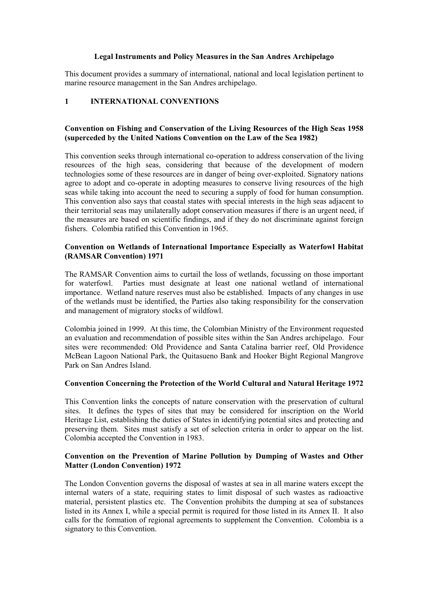## **Legal Instruments and Policy Measures in the San Andres Archipelago**

This document provides a summary of international, national and local legislation pertinent to marine resource management in the San Andres archipelago.

# **1 INTERNATIONAL CONVENTIONS**

# **Convention on Fishing and Conservation of the Living Resources of the High Seas 1958 (superceded by the United Nations Convention on the Law of the Sea 1982)**

This convention seeks through international co-operation to address conservation of the living resources of the high seas, considering that because of the development of modern technologies some of these resources are in danger of being over-exploited. Signatory nations agree to adopt and co-operate in adopting measures to conserve living resources of the high seas while taking into account the need to securing a supply of food for human consumption. This convention also says that coastal states with special interests in the high seas adjacent to their territorial seas may unilaterally adopt conservation measures if there is an urgent need, if the measures are based on scientific findings, and if they do not discriminate against foreign fishers. Colombia ratified this Convention in 1965.

# **Convention on Wetlands of International Importance Especially as Waterfowl Habitat (RAMSAR Convention) 1971**

The RAMSAR Convention aims to curtail the loss of wetlands, focussing on those important for waterfowl. Parties must designate at least one national wetland of international importance. Wetland nature reserves must also be established. Impacts of any changes in use of the wetlands must be identified, the Parties also taking responsibility for the conservation and management of migratory stocks of wildfowl.

Colombia joined in 1999. At this time, the Colombian Ministry of the Environment requested an evaluation and recommendation of possible sites within the San Andres archipelago. Four sites were recommended: Old Providence and Santa Catalina barrier reef, Old Providence McBean Lagoon National Park, the Quitasueno Bank and Hooker Bight Regional Mangrove Park on San Andres Island.

# **Convention Concerning the Protection of the World Cultural and Natural Heritage 1972**

This Convention links the concepts of nature conservation with the preservation of cultural sites. It defines the types of sites that may be considered for inscription on the World Heritage List, establishing the duties of States in identifying potential sites and protecting and preserving them. Sites must satisfy a set of selection criteria in order to appear on the list. Colombia accepted the Convention in 1983.

# **Convention on the Prevention of Marine Pollution by Dumping of Wastes and Other Matter (London Convention) 1972**

The London Convention governs the disposal of wastes at sea in all marine waters except the internal waters of a state, requiring states to limit disposal of such wastes as radioactive material, persistent plastics etc. The Convention prohibits the dumping at sea of substances listed in its Annex I, while a special permit is required for those listed in its Annex II. It also calls for the formation of regional agreements to supplement the Convention. Colombia is a signatory to this Convention.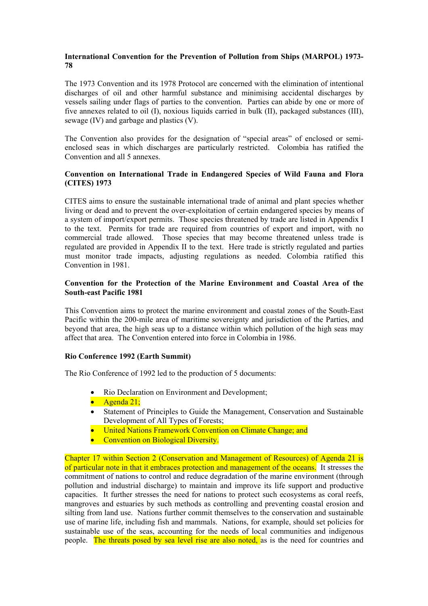# **International Convention for the Prevention of Pollution from Ships (MARPOL) 1973- 78**

The 1973 Convention and its 1978 Protocol are concerned with the elimination of intentional discharges of oil and other harmful substance and minimising accidental discharges by vessels sailing under flags of parties to the convention. Parties can abide by one or more of five annexes related to oil (I), noxious liquids carried in bulk (II), packaged substances (III), sewage (IV) and garbage and plastics (V).

The Convention also provides for the designation of "special areas" of enclosed or semienclosed seas in which discharges are particularly restricted. Colombia has ratified the Convention and all 5 annexes.

# **Convention on International Trade in Endangered Species of Wild Fauna and Flora (CITES) 1973**

CITES aims to ensure the sustainable international trade of animal and plant species whether living or dead and to prevent the over-exploitation of certain endangered species by means of a system of import/export permits. Those species threatened by trade are listed in Appendix I to the text. Permits for trade are required from countries of export and import, with no commercial trade allowed. Those species that may become threatened unless trade is regulated are provided in Appendix II to the text. Here trade is strictly regulated and parties must monitor trade impacts, adjusting regulations as needed. Colombia ratified this Convention in 1981.

# **Convention for the Protection of the Marine Environment and Coastal Area of the South-east Pacific 1981**

This Convention aims to protect the marine environment and coastal zones of the South-East Pacific within the 200-mile area of maritime sovereignty and jurisdiction of the Parties, and beyond that area, the high seas up to a distance within which pollution of the high seas may affect that area. The Convention entered into force in Colombia in 1986.

# **Rio Conference 1992 (Earth Summit)**

The Rio Conference of 1992 led to the production of 5 documents:

- Rio Declaration on Environment and Development;
- Agenda 21;
- Statement of Principles to Guide the Management, Conservation and Sustainable Development of All Types of Forests;
- United Nations Framework Convention on Climate Change: and
- Convention on Biological Diversity.

Chapter 17 within Section 2 (Conservation and Management of Resources) of Agenda 21 is of particular note in that it embraces protection and management of the oceans. It stresses the commitment of nations to control and reduce degradation of the marine environment (through pollution and industrial discharge) to maintain and improve its life support and productive capacities. It further stresses the need for nations to protect such ecosystems as coral reefs, mangroves and estuaries by such methods as controlling and preventing coastal erosion and silting from land use. Nations further commit themselves to the conservation and sustainable use of marine life, including fish and mammals. Nations, for example, should set policies for sustainable use of the seas, accounting for the needs of local communities and indigenous people. The threats posed by sea level rise are also noted, as is the need for countries and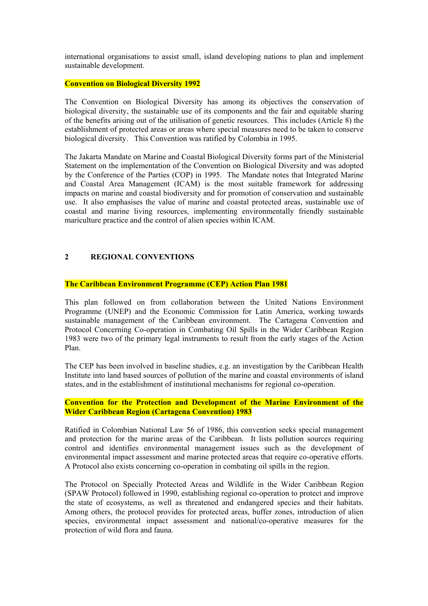international organisations to assist small, island developing nations to plan and implement sustainable development.

# **Convention on Biological Diversity 1992**

The Convention on Biological Diversity has among its objectives the conservation of biological diversity, the sustainable use of its components and the fair and equitable sharing of the benefits arising out of the utilisation of genetic resources. This includes (Article 8) the establishment of protected areas or areas where special measures need to be taken to conserve biological diversity. This Convention was ratified by Colombia in 1995.

The Jakarta Mandate on Marine and Coastal Biological Diversity forms part of the Ministerial Statement on the implementation of the Convention on Biological Diversity and was adopted by the Conference of the Parties (COP) in 1995. The Mandate notes that Integrated Marine and Coastal Area Management (ICAM) is the most suitable framework for addressing impacts on marine and coastal biodiversity and for promotion of conservation and sustainable use. It also emphasises the value of marine and coastal protected areas, sustainable use of coastal and marine living resources, implementing environmentally friendly sustainable mariculture practice and the control of alien species within ICAM.

# **2 REGIONAL CONVENTIONS**

## **The Caribbean Environment Programme (CEP) Action Plan 1981**

This plan followed on from collaboration between the United Nations Environment Programme (UNEP) and the Economic Commission for Latin America, working towards sustainable management of the Caribbean environment. The Cartagena Convention and Protocol Concerning Co-operation in Combating Oil Spills in the Wider Caribbean Region 1983 were two of the primary legal instruments to result from the early stages of the Action Plan.

The CEP has been involved in baseline studies, e.g. an investigation by the Caribbean Health Institute into land based sources of pollution of the marine and coastal environments of island states, and in the establishment of institutional mechanisms for regional co-operation.

## **Convention for the Protection and Development of the Marine Environment of the Wider Caribbean Region (Cartagena Convention) 1983**

Ratified in Colombian National Law 56 of 1986, this convention seeks special management and protection for the marine areas of the Caribbean. It lists pollution sources requiring control and identifies environmental management issues such as the development of environmental impact assessment and marine protected areas that require co-operative efforts. A Protocol also exists concerning co-operation in combating oil spills in the region.

The Protocol on Specially Protected Areas and Wildlife in the Wider Caribbean Region (SPAW Protocol) followed in 1990, establishing regional co-operation to protect and improve the state of ecosystems, as well as threatened and endangered species and their habitats. Among others, the protocol provides for protected areas, buffer zones, introduction of alien species, environmental impact assessment and national/co-operative measures for the protection of wild flora and fauna.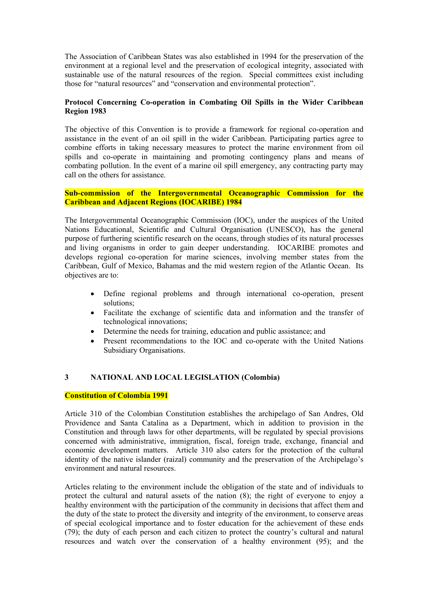The Association of Caribbean States was also established in 1994 for the preservation of the environment at a regional level and the preservation of ecological integrity, associated with sustainable use of the natural resources of the region. Special committees exist including those for "natural resources" and "conservation and environmental protection".

# **Protocol Concerning Co-operation in Combating Oil Spills in the Wider Caribbean Region 1983**

The objective of this Convention is to provide a framework for regional co-operation and assistance in the event of an oil spill in the wider Caribbean. Participating parties agree to combine efforts in taking necessary measures to protect the marine environment from oil spills and co-operate in maintaining and promoting contingency plans and means of combating pollution. In the event of a marine oil spill emergency, any contracting party may call on the others for assistance.

# **Sub-commission of the Intergovernmental Oceanographic Commission for the Caribbean and Adjacent Regions (IOCARIBE) 1984**

The Intergovernmental Oceanographic Commission (IOC), under the auspices of the United Nations Educational, Scientific and Cultural Organisation (UNESCO), has the general purpose of furthering scientific research on the oceans, through studies of its natural processes and living organisms in order to gain deeper understanding. IOCARIBE promotes and develops regional co-operation for marine sciences, involving member states from the Caribbean, Gulf of Mexico, Bahamas and the mid western region of the Atlantic Ocean. Its objectives are to:

- Define regional problems and through international co-operation, present solutions;
- Facilitate the exchange of scientific data and information and the transfer of technological innovations;
- Determine the needs for training, education and public assistance; and
- Present recommendations to the IOC and co-operate with the United Nations Subsidiary Organisations.

# **3 NATIONAL AND LOCAL LEGISLATION (Colombia)**

# **Constitution of Colombia 1991**

Article 310 of the Colombian Constitution establishes the archipelago of San Andres, Old Providence and Santa Catalina as a Department, which in addition to provision in the Constitution and through laws for other departments, will be regulated by special provisions concerned with administrative, immigration, fiscal, foreign trade, exchange, financial and economic development matters. Article 310 also caters for the protection of the cultural identity of the native islander (raizal) community and the preservation of the Archipelago's environment and natural resources.

Articles relating to the environment include the obligation of the state and of individuals to protect the cultural and natural assets of the nation (8); the right of everyone to enjoy a healthy environment with the participation of the community in decisions that affect them and the duty of the state to protect the diversity and integrity of the environment, to conserve areas of special ecological importance and to foster education for the achievement of these ends (79); the duty of each person and each citizen to protect the country's cultural and natural resources and watch over the conservation of a healthy environment (95); and the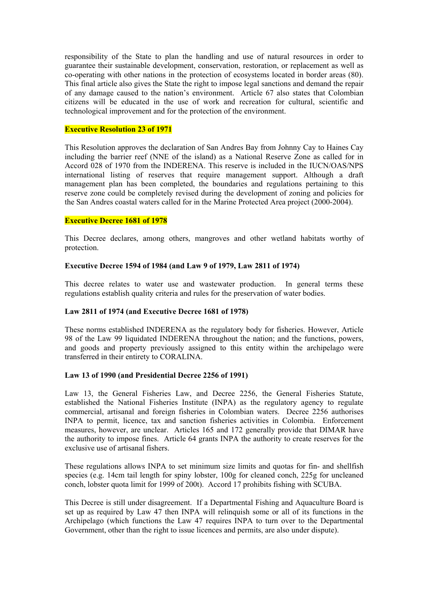responsibility of the State to plan the handling and use of natural resources in order to guarantee their sustainable development, conservation, restoration, or replacement as well as co-operating with other nations in the protection of ecosystems located in border areas (80). This final article also gives the State the right to impose legal sanctions and demand the repair of any damage caused to the nation's environment. Article 67 also states that Colombian citizens will be educated in the use of work and recreation for cultural, scientific and technological improvement and for the protection of the environment.

## **Executive Resolution 23 of 1971**

This Resolution approves the declaration of San Andres Bay from Johnny Cay to Haines Cay including the barrier reef (NNE of the island) as a National Reserve Zone as called for in Accord 028 of 1970 from the INDERENA. This reserve is included in the IUCN/OAS/NPS international listing of reserves that require management support. Although a draft management plan has been completed, the boundaries and regulations pertaining to this reserve zone could be completely revised during the development of zoning and policies for the San Andres coastal waters called for in the Marine Protected Area project (2000-2004).

#### **Executive Decree 1681 of 1978**

This Decree declares, among others, mangroves and other wetland habitats worthy of protection.

#### **Executive Decree 1594 of 1984 (and Law 9 of 1979, Law 2811 of 1974)**

This decree relates to water use and wastewater production. In general terms these regulations establish quality criteria and rules for the preservation of water bodies.

#### **Law 2811 of 1974 (and Executive Decree 1681 of 1978)**

These norms established INDERENA as the regulatory body for fisheries. However, Article 98 of the Law 99 liquidated INDERENA throughout the nation; and the functions, powers, and goods and property previously assigned to this entity within the archipelago were transferred in their entirety to CORALINA.

## **Law 13 of 1990 (and Presidential Decree 2256 of 1991)**

Law 13, the General Fisheries Law, and Decree 2256, the General Fisheries Statute, established the National Fisheries Institute (INPA) as the regulatory agency to regulate commercial, artisanal and foreign fisheries in Colombian waters. Decree 2256 authorises INPA to permit, licence, tax and sanction fisheries activities in Colombia. Enforcement measures, however, are unclear. Articles 165 and 172 generally provide that DIMAR have the authority to impose fines. Article 64 grants INPA the authority to create reserves for the exclusive use of artisanal fishers.

These regulations allows INPA to set minimum size limits and quotas for fin- and shellfish species (e.g. 14cm tail length for spiny lobster, 100g for cleaned conch, 225g for uncleaned conch, lobster quota limit for 1999 of 200t). Accord 17 prohibits fishing with SCUBA.

This Decree is still under disagreement. If a Departmental Fishing and Aquaculture Board is set up as required by Law 47 then INPA will relinquish some or all of its functions in the Archipelago (which functions the Law 47 requires INPA to turn over to the Departmental Government, other than the right to issue licences and permits, are also under dispute).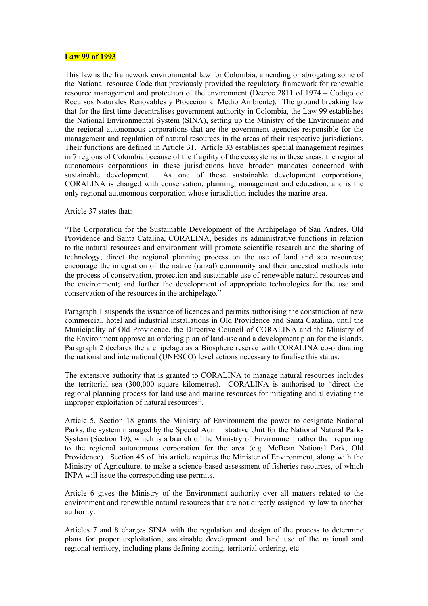#### **Law 99 of 1993**

This law is the framework environmental law for Colombia, amending or abrogating some of the National resource Code that previously provided the regulatory framework for renewable resource management and protection of the environment (Decree 2811 of 1974 – Codigo de Recursos Naturales Renovables y Ptoeccion al Medio Ambiente). The ground breaking law that for the first time decentralises government authority in Colombia, the Law 99 establishes the National Environmental System (SINA), setting up the Ministry of the Environment and the regional autonomous corporations that are the government agencies responsible for the management and regulation of natural resources in the areas of their respective jurisdictions. Their functions are defined in Article 31. Article 33 establishes special management regimes in 7 regions of Colombia because of the fragility of the ecosystems in these areas; the regional autonomous corporations in these jurisdictions have broader mandates concerned with sustainable development. As one of these sustainable development corporations, CORALINA is charged with conservation, planning, management and education, and is the only regional autonomous corporation whose jurisdiction includes the marine area.

## Article 37 states that:

"The Corporation for the Sustainable Development of the Archipelago of San Andres, Old Providence and Santa Catalina, CORALINA, besides its administrative functions in relation to the natural resources and environment will promote scientific research and the sharing of technology; direct the regional planning process on the use of land and sea resources; encourage the integration of the native (raizal) community and their ancestral methods into the process of conservation, protection and sustainable use of renewable natural resources and the environment; and further the development of appropriate technologies for the use and conservation of the resources in the archipelago."

Paragraph 1 suspends the issuance of licences and permits authorising the construction of new commercial, hotel and industrial installations in Old Providence and Santa Catalina, until the Municipality of Old Providence, the Directive Council of CORALINA and the Ministry of the Environment approve an ordering plan of land-use and a development plan for the islands. Paragraph 2 declares the archipelago as a Biosphere reserve with CORALINA co-ordinating the national and international (UNESCO) level actions necessary to finalise this status.

The extensive authority that is granted to CORALINA to manage natural resources includes the territorial sea (300,000 square kilometres). CORALINA is authorised to "direct the regional planning process for land use and marine resources for mitigating and alleviating the improper exploitation of natural resources".

Article 5, Section 18 grants the Ministry of Environment the power to designate National Parks, the system managed by the Special Administrative Unit for the National Natural Parks System (Section 19), which is a branch of the Ministry of Environment rather than reporting to the regional autonomous corporation for the area (e.g. McBean National Park, Old Providence). Section 45 of this article requires the Minister of Environment, along with the Ministry of Agriculture, to make a science-based assessment of fisheries resources, of which INPA will issue the corresponding use permits.

Article 6 gives the Ministry of the Environment authority over all matters related to the environment and renewable natural resources that are not directly assigned by law to another authority.

Articles 7 and 8 charges SINA with the regulation and design of the process to determine plans for proper exploitation, sustainable development and land use of the national and regional territory, including plans defining zoning, territorial ordering, etc.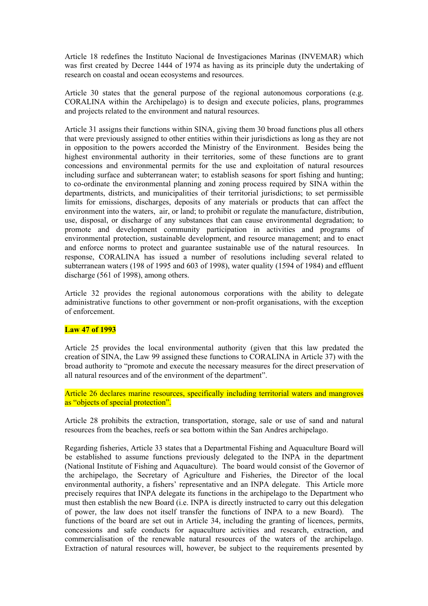Article 18 redefines the Instituto Nacional de Investigaciones Marinas (INVEMAR) which was first created by Decree 1444 of 1974 as having as its principle duty the undertaking of research on coastal and ocean ecosystems and resources.

Article 30 states that the general purpose of the regional autonomous corporations (e.g. CORALINA within the Archipelago) is to design and execute policies, plans, programmes and projects related to the environment and natural resources.

Article 31 assigns their functions within SINA, giving them 30 broad functions plus all others that were previously assigned to other entities within their jurisdictions as long as they are not in opposition to the powers accorded the Ministry of the Environment. Besides being the highest environmental authority in their territories, some of these functions are to grant concessions and environmental permits for the use and exploitation of natural resources including surface and subterranean water; to establish seasons for sport fishing and hunting; to co-ordinate the environmental planning and zoning process required by SINA within the departments, districts, and municipalities of their territorial jurisdictions; to set permissible limits for emissions, discharges, deposits of any materials or products that can affect the environment into the waters, air, or land; to prohibit or regulate the manufacture, distribution, use, disposal, or discharge of any substances that can cause environmental degradation; to promote and development community participation in activities and programs of environmental protection, sustainable development, and resource management; and to enact and enforce norms to protect and guarantee sustainable use of the natural resources. In response, CORALINA has issued a number of resolutions including several related to subterranean waters (198 of 1995 and 603 of 1998), water quality (1594 of 1984) and effluent discharge (561 of 1998), among others.

Article 32 provides the regional autonomous corporations with the ability to delegate administrative functions to other government or non-profit organisations, with the exception of enforcement.

## **Law 47 of 1993**

Article 25 provides the local environmental authority (given that this law predated the creation of SINA, the Law 99 assigned these functions to CORALINA in Article 37) with the broad authority to "promote and execute the necessary measures for the direct preservation of all natural resources and of the environment of the department".

Article 26 declares marine resources, specifically including territorial waters and mangroves as "objects of special protection".

Article 28 prohibits the extraction, transportation, storage, sale or use of sand and natural resources from the beaches, reefs or sea bottom within the San Andres archipelago.

Regarding fisheries, Article 33 states that a Departmental Fishing and Aquaculture Board will be established to assume functions previously delegated to the INPA in the department (National Institute of Fishing and Aquaculture). The board would consist of the Governor of the archipelago, the Secretary of Agriculture and Fisheries, the Director of the local environmental authority, a fishers' representative and an INPA delegate. This Article more precisely requires that INPA delegate its functions in the archipelago to the Department who must then establish the new Board (i.e. INPA is directly instructed to carry out this delegation of power, the law does not itself transfer the functions of INPA to a new Board). The functions of the board are set out in Article 34, including the granting of licences, permits, concessions and safe conducts for aquaculture activities and research, extraction, and commercialisation of the renewable natural resources of the waters of the archipelago. Extraction of natural resources will, however, be subject to the requirements presented by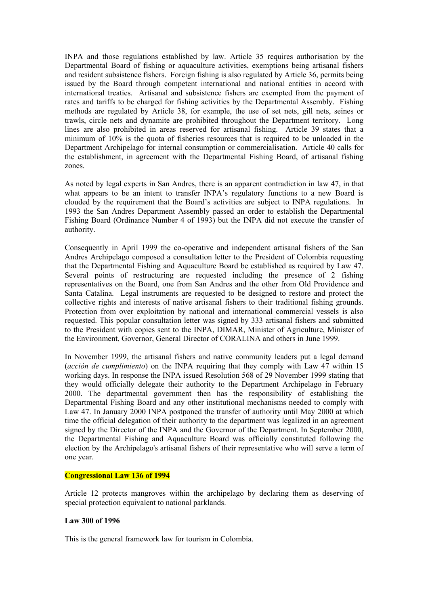INPA and those regulations established by law. Article 35 requires authorisation by the Departmental Board of fishing or aquaculture activities, exemptions being artisanal fishers and resident subsistence fishers. Foreign fishing is also regulated by Article 36, permits being issued by the Board through competent international and national entities in accord with international treaties. Artisanal and subsistence fishers are exempted from the payment of rates and tariffs to be charged for fishing activities by the Departmental Assembly. Fishing methods are regulated by Article 38, for example, the use of set nets, gill nets, seines or trawls, circle nets and dynamite are prohibited throughout the Department territory. Long lines are also prohibited in areas reserved for artisanal fishing. Article 39 states that a minimum of 10% is the quota of fisheries resources that is required to be unloaded in the Department Archipelago for internal consumption or commercialisation. Article 40 calls for the establishment, in agreement with the Departmental Fishing Board, of artisanal fishing zones.

As noted by legal experts in San Andres, there is an apparent contradiction in law 47, in that what appears to be an intent to transfer INPA's regulatory functions to a new Board is clouded by the requirement that the Board's activities are subject to INPA regulations. In 1993 the San Andres Department Assembly passed an order to establish the Departmental Fishing Board (Ordinance Number 4 of 1993) but the INPA did not execute the transfer of authority.

Consequently in April 1999 the co-operative and independent artisanal fishers of the San Andres Archipelago composed a consultation letter to the President of Colombia requesting that the Departmental Fishing and Aquaculture Board be established as required by Law 47. Several points of restructuring are requested including the presence of 2 fishing representatives on the Board, one from San Andres and the other from Old Providence and Santa Catalina. Legal instruments are requested to be designed to restore and protect the collective rights and interests of native artisanal fishers to their traditional fishing grounds. Protection from over exploitation by national and international commercial vessels is also requested. This popular consultation letter was signed by 333 artisanal fishers and submitted to the President with copies sent to the INPA, DIMAR, Minister of Agriculture, Minister of the Environment, Governor, General Director of CORALINA and others in June 1999.

In November 1999, the artisanal fishers and native community leaders put a legal demand (*acción de cumplimiento*) on the INPA requiring that they comply with Law 47 within 15 working days. In response the INPA issued Resolution 568 of 29 November 1999 stating that they would officially delegate their authority to the Department Archipelago in February 2000. The departmental government then has the responsibility of establishing the Departmental Fishing Board and any other institutional mechanisms needed to comply with Law 47. In January 2000 INPA postponed the transfer of authority until May 2000 at which time the official delegation of their authority to the department was legalized in an agreement signed by the Director of the INPA and the Governor of the Department. In September 2000, the Departmental Fishing and Aquaculture Board was officially constituted following the election by the Archipelago's artisanal fishers of their representative who will serve a term of one year.

#### **Congressional Law 136 of 1994**

Article 12 protects mangroves within the archipelago by declaring them as deserving of special protection equivalent to national parklands.

#### **Law 300 of 1996**

This is the general framework law for tourism in Colombia.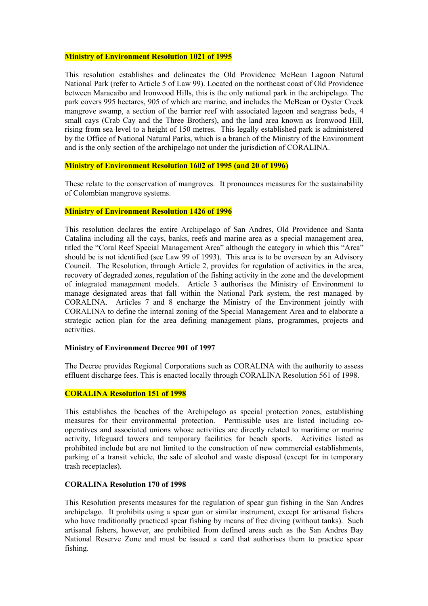#### **Ministry of Environment Resolution 1021 of 1995**

This resolution establishes and delineates the Old Providence McBean Lagoon Natural National Park (refer to Article 5 of Law 99). Located on the northeast coast of Old Providence between Maracaibo and Ironwood Hills, this is the only national park in the archipelago. The park covers 995 hectares, 905 of which are marine, and includes the McBean or Oyster Creek mangrove swamp, a section of the barrier reef with associated lagoon and seagrass beds, 4 small cays (Crab Cay and the Three Brothers), and the land area known as Ironwood Hill, rising from sea level to a height of 150 metres. This legally established park is administered by the Office of National Natural Parks, which is a branch of the Ministry of the Environment and is the only section of the archipelago not under the jurisdiction of CORALINA.

#### **Ministry of Environment Resolution 1602 of 1995 (and 20 of 1996)**

These relate to the conservation of mangroves. It pronounces measures for the sustainability of Colombian mangrove systems.

#### **Ministry of Environment Resolution 1426 of 1996**

This resolution declares the entire Archipelago of San Andres, Old Providence and Santa Catalina including all the cays, banks, reefs and marine area as a special management area, titled the "Coral Reef Special Management Area" although the category in which this "Area" should be is not identified (see Law 99 of 1993). This area is to be overseen by an Advisory Council. The Resolution, through Article 2, provides for regulation of activities in the area, recovery of degraded zones, regulation of the fishing activity in the zone and the development of integrated management models. Article 3 authorises the Ministry of Environment to manage designated areas that fall within the National Park system, the rest managed by CORALINA. Articles 7 and 8 encharge the Ministry of the Environment jointly with CORALINA to define the internal zoning of the Special Management Area and to elaborate a strategic action plan for the area defining management plans, programmes, projects and activities.

#### **Ministry of Environment Decree 901 of 1997**

The Decree provides Regional Corporations such as CORALINA with the authority to assess effluent discharge fees. This is enacted locally through CORALINA Resolution 561 of 1998.

# **CORALINA Resolution 151 of 1998**

This establishes the beaches of the Archipelago as special protection zones, establishing measures for their environmental protection. Permissible uses are listed including cooperatives and associated unions whose activities are directly related to maritime or marine activity, lifeguard towers and temporary facilities for beach sports. Activities listed as prohibited include but are not limited to the construction of new commercial establishments, parking of a transit vehicle, the sale of alcohol and waste disposal (except for in temporary trash receptacles).

## **CORALINA Resolution 170 of 1998**

This Resolution presents measures for the regulation of spear gun fishing in the San Andres archipelago. It prohibits using a spear gun or similar instrument, except for artisanal fishers who have traditionally practiced spear fishing by means of free diving (without tanks). Such artisanal fishers, however, are prohibited from defined areas such as the San Andres Bay National Reserve Zone and must be issued a card that authorises them to practice spear fishing.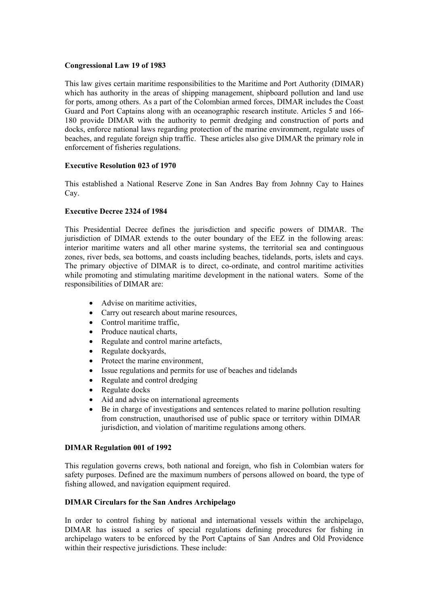## **Congressional Law 19 of 1983**

This law gives certain maritime responsibilities to the Maritime and Port Authority (DIMAR) which has authority in the areas of shipping management, shipboard pollution and land use for ports, among others. As a part of the Colombian armed forces, DIMAR includes the Coast Guard and Port Captains along with an oceanographic research institute. Articles 5 and 166- 180 provide DIMAR with the authority to permit dredging and construction of ports and docks, enforce national laws regarding protection of the marine environment, regulate uses of beaches, and regulate foreign ship traffic. These articles also give DIMAR the primary role in enforcement of fisheries regulations.

# **Executive Resolution 023 of 1970**

This established a National Reserve Zone in San Andres Bay from Johnny Cay to Haines Cay.

## **Executive Decree 2324 of 1984**

This Presidential Decree defines the jurisdiction and specific powers of DIMAR. The jurisdiction of DIMAR extends to the outer boundary of the EEZ in the following areas: interior maritime waters and all other marine systems, the territorial sea and continguous zones, river beds, sea bottoms, and coasts including beaches, tidelands, ports, islets and cays. The primary objective of DIMAR is to direct, co-ordinate, and control maritime activities while promoting and stimulating maritime development in the national waters. Some of the responsibilities of DIMAR are:

- Advise on maritime activities,
- Carry out research about marine resources,
- Control maritime traffic,
- Produce nautical charts,
- Regulate and control marine artefacts,
- Regulate dockyards,
- Protect the marine environment,
- Issue regulations and permits for use of beaches and tidelands
- Regulate and control dredging
- Regulate docks
- Aid and advise on international agreements
- Be in charge of investigations and sentences related to marine pollution resulting from construction, unauthorised use of public space or territory within DIMAR jurisdiction, and violation of maritime regulations among others.

### **DIMAR Regulation 001 of 1992**

This regulation governs crews, both national and foreign, who fish in Colombian waters for safety purposes. Defined are the maximum numbers of persons allowed on board, the type of fishing allowed, and navigation equipment required.

#### **DIMAR Circulars for the San Andres Archipelago**

In order to control fishing by national and international vessels within the archipelago, DIMAR has issued a series of special regulations defining procedures for fishing in archipelago waters to be enforced by the Port Captains of San Andres and Old Providence within their respective jurisdictions. These include: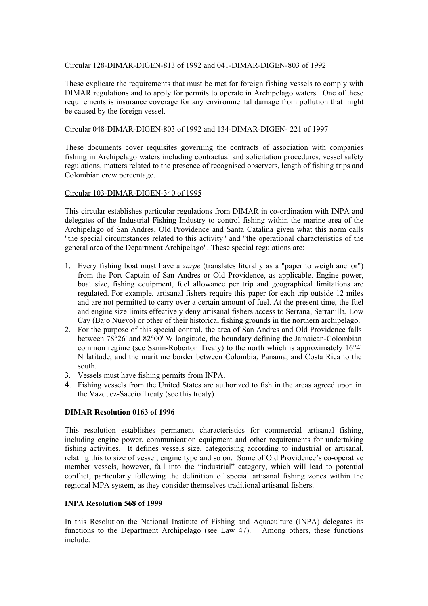# Circular 128-DIMAR-DIGEN-813 of 1992 and 041-DIMAR-DIGEN-803 of 1992

These explicate the requirements that must be met for foreign fishing vessels to comply with DIMAR regulations and to apply for permits to operate in Archipelago waters. One of these requirements is insurance coverage for any environmental damage from pollution that might be caused by the foreign vessel.

# Circular 048-DIMAR-DIGEN-803 of 1992 and 134-DIMAR-DIGEN- 221 of 1997

These documents cover requisites governing the contracts of association with companies fishing in Archipelago waters including contractual and solicitation procedures, vessel safety regulations, matters related to the presence of recognised observers, length of fishing trips and Colombian crew percentage.

# Circular 103-DIMAR-DIGEN-340 of 1995

This circular establishes particular regulations from DIMAR in co-ordination with INPA and delegates of the Industrial Fishing Industry to control fishing within the marine area of the Archipelago of San Andres, Old Providence and Santa Catalina given what this norm calls "the special circumstances related to this activity" and "the operational characteristics of the general area of the Department Archipelago". These special regulations are:

- 1. Every fishing boat must have a *zarpe* (translates literally as a "paper to weigh anchor") from the Port Captain of San Andres or Old Providence, as applicable. Engine power, boat size, fishing equipment, fuel allowance per trip and geographical limitations are regulated. For example, artisanal fishers require this paper for each trip outside 12 miles and are not permitted to carry over a certain amount of fuel. At the present time, the fuel and engine size limits effectively deny artisanal fishers access to Serrana, Serranilla, Low Cay (Bajo Nuevo) or other of their historical fishing grounds in the northern archipelago.
- 2. For the purpose of this special control, the area of San Andres and Old Providence falls between 78°26' and 82°00' W longitude, the boundary defining the Jamaican-Colombian common regime (see Sanin-Roberton Treaty) to the north which is approximately 16°4' N latitude, and the maritime border between Colombia, Panama, and Costa Rica to the south.
- 3. Vessels must have fishing permits from INPA.
- 4. Fishing vessels from the United States are authorized to fish in the areas agreed upon in the Vazquez-Saccio Treaty (see this treaty).

# **DIMAR Resolution 0163 of 1996**

This resolution establishes permanent characteristics for commercial artisanal fishing, including engine power, communication equipment and other requirements for undertaking fishing activities. It defines vessels size, categorising according to industrial or artisanal, relating this to size of vessel, engine type and so on. Some of Old Providence's co-operative member vessels, however, fall into the "industrial" category, which will lead to potential conflict, particularly following the definition of special artisanal fishing zones within the regional MPA system, as they consider themselves traditional artisanal fishers.

# **INPA Resolution 568 of 1999**

In this Resolution the National Institute of Fishing and Aquaculture (INPA) delegates its functions to the Department Archipelago (see Law 47). Among others, these functions include: